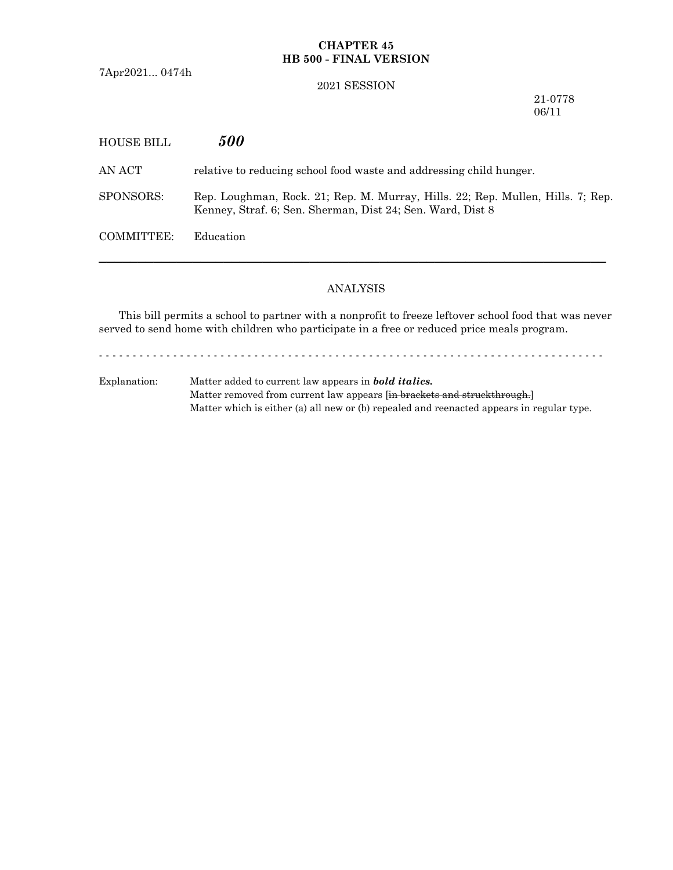# **CHAPTER 45 HB 500 - FINAL VERSION**

7Apr2021... 0474h

#### 2021 SESSION

21-0778 06/11

| HOUSE BILL | <i>500</i>                                                                                                                                    |
|------------|-----------------------------------------------------------------------------------------------------------------------------------------------|
| AN ACT     | relative to reducing school food waste and addressing child hunger.                                                                           |
| SPONSORS:  | Rep. Loughman, Rock. 21; Rep. M. Murray, Hills. 22; Rep. Mullen, Hills. 7; Rep.<br>Kenney, Straf. 6; Sen. Sherman, Dist 24; Sen. Ward, Dist 8 |
| COMMITTEE: | Education                                                                                                                                     |
|            |                                                                                                                                               |

# ANALYSIS

This bill permits a school to partner with a nonprofit to freeze leftover school food that was never served to send home with children who participate in a free or reduced price meals program.

- - - - - - - - - - - - - - - - - - - - - - - - - - - - - - - - - - - - - - - - - - - - - - - - - - - - - - - - - - - - - - - - - - - - - - - - - - -

Explanation: Matter added to current law appears in *bold italics.* Matter removed from current law appears [in brackets and struckthrough.] Matter which is either (a) all new or (b) repealed and reenacted appears in regular type.